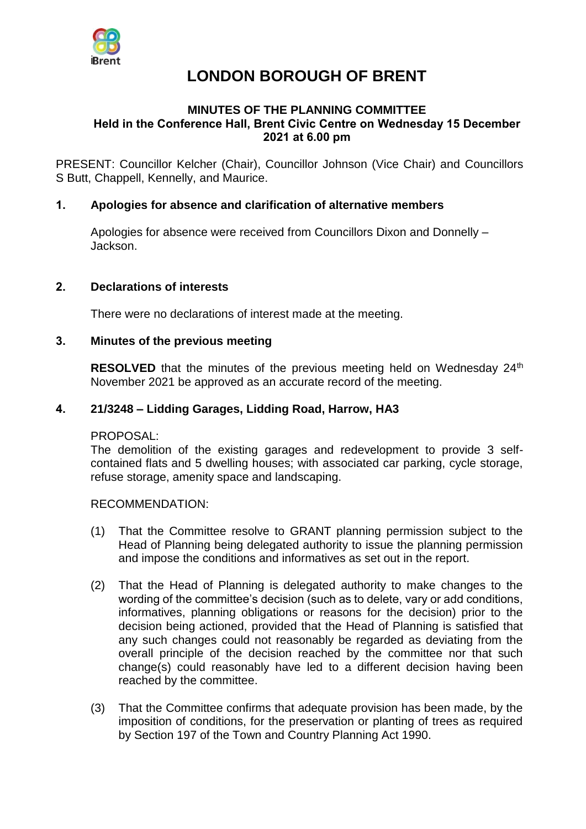

# **LONDON BOROUGH OF BRENT**

## **MINUTES OF THE PLANNING COMMITTEE Held in the Conference Hall, Brent Civic Centre on Wednesday 15 December 2021 at 6.00 pm**

PRESENT: Councillor Kelcher (Chair), Councillor Johnson (Vice Chair) and Councillors S Butt, Chappell, Kennelly, and Maurice.

## **1. Apologies for absence and clarification of alternative members**

Apologies for absence were received from Councillors Dixon and Donnelly – Jackson.

## **2. Declarations of interests**

There were no declarations of interest made at the meeting.

#### **3. Minutes of the previous meeting**

**RESOLVED** that the minutes of the previous meeting held on Wednesday 24<sup>th</sup> November 2021 be approved as an accurate record of the meeting.

#### **4. 21/3248 – Lidding Garages, Lidding Road, Harrow, HA3**

#### PROPOSAL:

The demolition of the existing garages and redevelopment to provide 3 selfcontained flats and 5 dwelling houses; with associated car parking, cycle storage, refuse storage, amenity space and landscaping.

#### RECOMMENDATION:

- (1) That the Committee resolve to GRANT planning permission subject to the Head of Planning being delegated authority to issue the planning permission and impose the conditions and informatives as set out in the report.
- (2) That the Head of Planning is delegated authority to make changes to the wording of the committee's decision (such as to delete, vary or add conditions, informatives, planning obligations or reasons for the decision) prior to the decision being actioned, provided that the Head of Planning is satisfied that any such changes could not reasonably be regarded as deviating from the overall principle of the decision reached by the committee nor that such change(s) could reasonably have led to a different decision having been reached by the committee.
- (3) That the Committee confirms that adequate provision has been made, by the imposition of conditions, for the preservation or planting of trees as required by Section 197 of the Town and Country Planning Act 1990.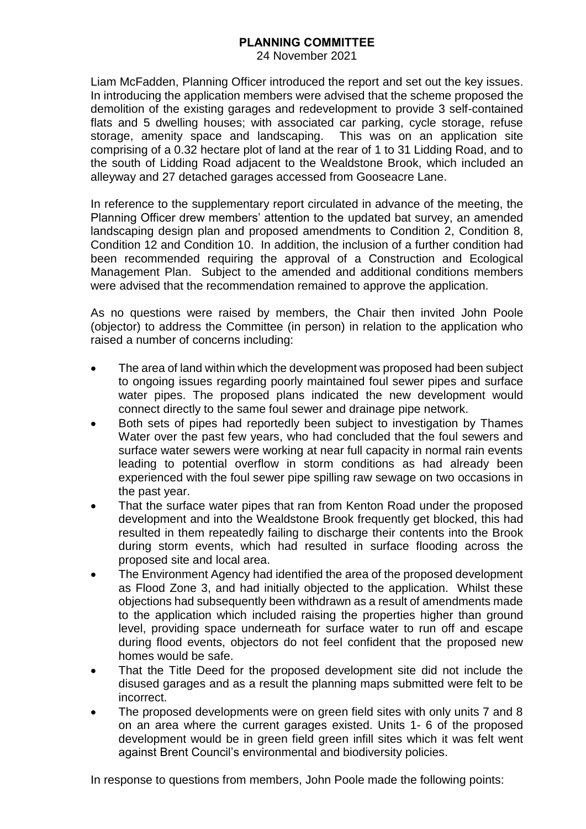24 November 2021

Liam McFadden, Planning Officer introduced the report and set out the key issues. In introducing the application members were advised that the scheme proposed the demolition of the existing garages and redevelopment to provide 3 self-contained flats and 5 dwelling houses; with associated car parking, cycle storage, refuse storage, amenity space and landscaping. This was on an application site comprising of a 0.32 hectare plot of land at the rear of 1 to 31 Lidding Road, and to the south of Lidding Road adjacent to the Wealdstone Brook, which included an alleyway and 27 detached garages accessed from Gooseacre Lane.

In reference to the supplementary report circulated in advance of the meeting, the Planning Officer drew members' attention to the updated bat survey, an amended landscaping design plan and proposed amendments to Condition 2, Condition 8, Condition 12 and Condition 10. In addition, the inclusion of a further condition had been recommended requiring the approval of a Construction and Ecological Management Plan. Subject to the amended and additional conditions members were advised that the recommendation remained to approve the application.

As no questions were raised by members, the Chair then invited John Poole (objector) to address the Committee (in person) in relation to the application who raised a number of concerns including:

- The area of land within which the development was proposed had been subject to ongoing issues regarding poorly maintained foul sewer pipes and surface water pipes. The proposed plans indicated the new development would connect directly to the same foul sewer and drainage pipe network.
- Both sets of pipes had reportedly been subject to investigation by Thames Water over the past few years, who had concluded that the foul sewers and surface water sewers were working at near full capacity in normal rain events leading to potential overflow in storm conditions as had already been experienced with the foul sewer pipe spilling raw sewage on two occasions in the past year.
- That the surface water pipes that ran from Kenton Road under the proposed development and into the Wealdstone Brook frequently get blocked, this had resulted in them repeatedly failing to discharge their contents into the Brook during storm events, which had resulted in surface flooding across the proposed site and local area.
- The Environment Agency had identified the area of the proposed development as Flood Zone 3, and had initially objected to the application. Whilst these objections had subsequently been withdrawn as a result of amendments made to the application which included raising the properties higher than ground level, providing space underneath for surface water to run off and escape during flood events, objectors do not feel confident that the proposed new homes would be safe.
- That the Title Deed for the proposed development site did not include the disused garages and as a result the planning maps submitted were felt to be incorrect.
- The proposed developments were on green field sites with only units 7 and 8 on an area where the current garages existed. Units 1- 6 of the proposed development would be in green field green infill sites which it was felt went against Brent Council's environmental and biodiversity policies.

In response to questions from members, John Poole made the following points: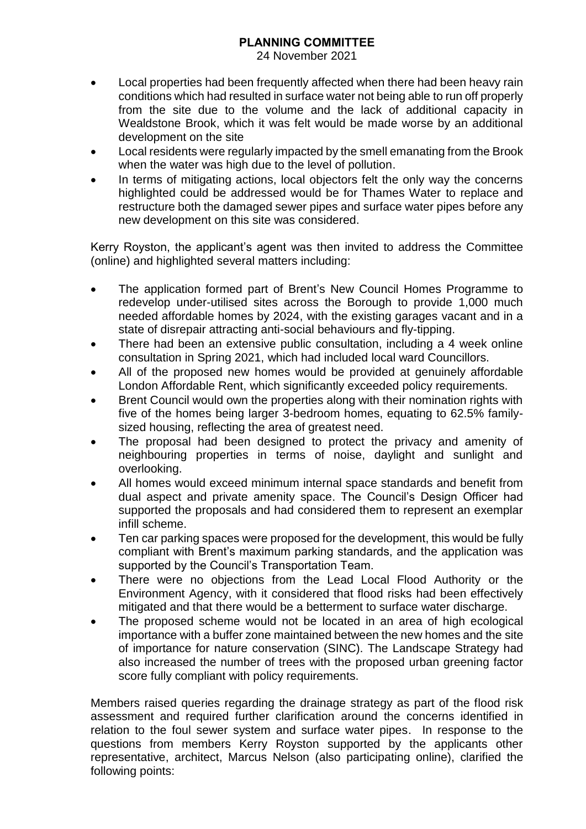24 November 2021

- Local properties had been frequently affected when there had been heavy rain conditions which had resulted in surface water not being able to run off properly from the site due to the volume and the lack of additional capacity in Wealdstone Brook, which it was felt would be made worse by an additional development on the site
- Local residents were regularly impacted by the smell emanating from the Brook when the water was high due to the level of pollution.
- In terms of mitigating actions, local objectors felt the only way the concerns highlighted could be addressed would be for Thames Water to replace and restructure both the damaged sewer pipes and surface water pipes before any new development on this site was considered.

Kerry Royston, the applicant's agent was then invited to address the Committee (online) and highlighted several matters including:

- The application formed part of Brent's New Council Homes Programme to redevelop under-utilised sites across the Borough to provide 1,000 much needed affordable homes by 2024, with the existing garages vacant and in a state of disrepair attracting anti-social behaviours and fly-tipping.
- There had been an extensive public consultation, including a 4 week online consultation in Spring 2021, which had included local ward Councillors.
- All of the proposed new homes would be provided at genuinely affordable London Affordable Rent, which significantly exceeded policy requirements.
- Brent Council would own the properties along with their nomination rights with five of the homes being larger 3-bedroom homes, equating to 62.5% familysized housing, reflecting the area of greatest need.
- The proposal had been designed to protect the privacy and amenity of neighbouring properties in terms of noise, daylight and sunlight and overlooking.
- All homes would exceed minimum internal space standards and benefit from dual aspect and private amenity space. The Council's Design Officer had supported the proposals and had considered them to represent an exemplar infill scheme.
- Ten car parking spaces were proposed for the development, this would be fully compliant with Brent's maximum parking standards, and the application was supported by the Council's Transportation Team.
- There were no objections from the Lead Local Flood Authority or the Environment Agency, with it considered that flood risks had been effectively mitigated and that there would be a betterment to surface water discharge.
- The proposed scheme would not be located in an area of high ecological importance with a buffer zone maintained between the new homes and the site of importance for nature conservation (SINC). The Landscape Strategy had also increased the number of trees with the proposed urban greening factor score fully compliant with policy requirements.

Members raised queries regarding the drainage strategy as part of the flood risk assessment and required further clarification around the concerns identified in relation to the foul sewer system and surface water pipes. In response to the questions from members Kerry Royston supported by the applicants other representative, architect, Marcus Nelson (also participating online), clarified the following points: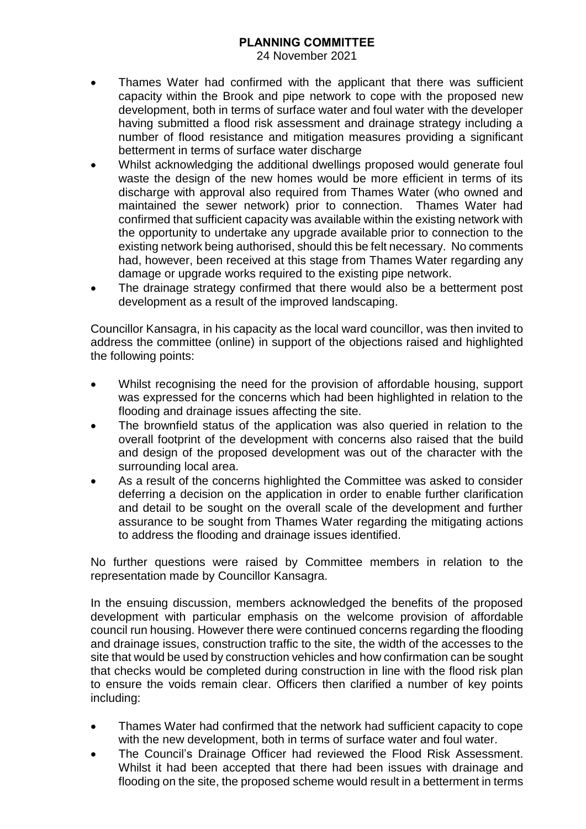24 November 2021

- Thames Water had confirmed with the applicant that there was sufficient capacity within the Brook and pipe network to cope with the proposed new development, both in terms of surface water and foul water with the developer having submitted a flood risk assessment and drainage strategy including a number of flood resistance and mitigation measures providing a significant betterment in terms of surface water discharge
- Whilst acknowledging the additional dwellings proposed would generate foul waste the design of the new homes would be more efficient in terms of its discharge with approval also required from Thames Water (who owned and maintained the sewer network) prior to connection. Thames Water had confirmed that sufficient capacity was available within the existing network with the opportunity to undertake any upgrade available prior to connection to the existing network being authorised, should this be felt necessary. No comments had, however, been received at this stage from Thames Water regarding any damage or upgrade works required to the existing pipe network.
- The drainage strategy confirmed that there would also be a betterment post development as a result of the improved landscaping.

Councillor Kansagra, in his capacity as the local ward councillor, was then invited to address the committee (online) in support of the objections raised and highlighted the following points:

- Whilst recognising the need for the provision of affordable housing, support was expressed for the concerns which had been highlighted in relation to the flooding and drainage issues affecting the site.
- The brownfield status of the application was also queried in relation to the overall footprint of the development with concerns also raised that the build and design of the proposed development was out of the character with the surrounding local area.
- As a result of the concerns highlighted the Committee was asked to consider deferring a decision on the application in order to enable further clarification and detail to be sought on the overall scale of the development and further assurance to be sought from Thames Water regarding the mitigating actions to address the flooding and drainage issues identified.

No further questions were raised by Committee members in relation to the representation made by Councillor Kansagra.

In the ensuing discussion, members acknowledged the benefits of the proposed development with particular emphasis on the welcome provision of affordable council run housing. However there were continued concerns regarding the flooding and drainage issues, construction traffic to the site, the width of the accesses to the site that would be used by construction vehicles and how confirmation can be sought that checks would be completed during construction in line with the flood risk plan to ensure the voids remain clear. Officers then clarified a number of key points including:

- Thames Water had confirmed that the network had sufficient capacity to cope with the new development, both in terms of surface water and foul water.
- The Council's Drainage Officer had reviewed the Flood Risk Assessment. Whilst it had been accepted that there had been issues with drainage and flooding on the site, the proposed scheme would result in a betterment in terms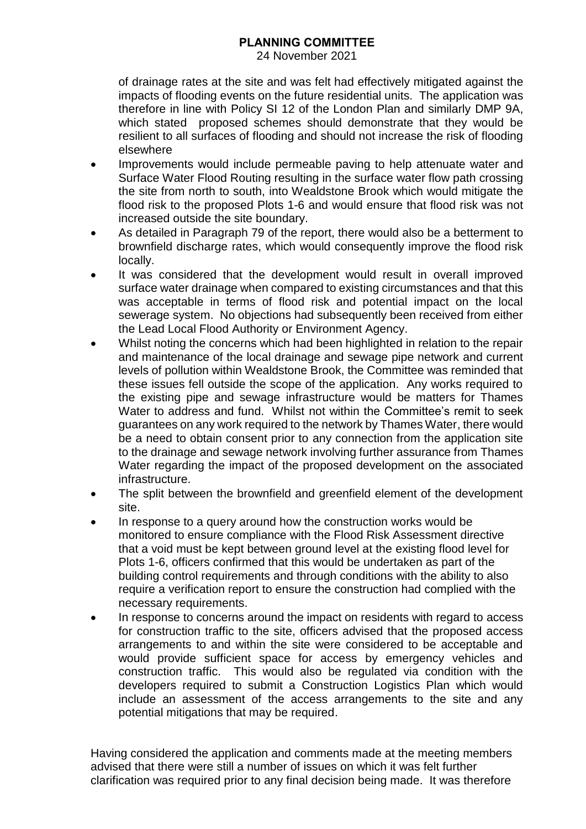24 November 2021

of drainage rates at the site and was felt had effectively mitigated against the impacts of flooding events on the future residential units. The application was therefore in line with Policy SI 12 of the London Plan and similarly DMP 9A, which stated proposed schemes should demonstrate that they would be resilient to all surfaces of flooding and should not increase the risk of flooding elsewhere

- Improvements would include permeable paving to help attenuate water and Surface Water Flood Routing resulting in the surface water flow path crossing the site from north to south, into Wealdstone Brook which would mitigate the flood risk to the proposed Plots 1-6 and would ensure that flood risk was not increased outside the site boundary.
- As detailed in Paragraph 79 of the report, there would also be a betterment to brownfield discharge rates, which would consequently improve the flood risk locally.
- It was considered that the development would result in overall improved surface water drainage when compared to existing circumstances and that this was acceptable in terms of flood risk and potential impact on the local sewerage system. No objections had subsequently been received from either the Lead Local Flood Authority or Environment Agency.
- Whilst noting the concerns which had been highlighted in relation to the repair and maintenance of the local drainage and sewage pipe network and current levels of pollution within Wealdstone Brook, the Committee was reminded that these issues fell outside the scope of the application. Any works required to the existing pipe and sewage infrastructure would be matters for Thames Water to address and fund. Whilst not within the Committee's remit to seek guarantees on any work required to the network by Thames Water, there would be a need to obtain consent prior to any connection from the application site to the drainage and sewage network involving further assurance from Thames Water regarding the impact of the proposed development on the associated infrastructure.
- The split between the brownfield and greenfield element of the development site.
- In response to a query around how the construction works would be monitored to ensure compliance with the Flood Risk Assessment directive that a void must be kept between ground level at the existing flood level for Plots 1-6, officers confirmed that this would be undertaken as part of the building control requirements and through conditions with the ability to also require a verification report to ensure the construction had complied with the necessary requirements.
- In response to concerns around the impact on residents with regard to access for construction traffic to the site, officers advised that the proposed access arrangements to and within the site were considered to be acceptable and would provide sufficient space for access by emergency vehicles and construction traffic. This would also be regulated via condition with the developers required to submit a Construction Logistics Plan which would include an assessment of the access arrangements to the site and any potential mitigations that may be required.

Having considered the application and comments made at the meeting members advised that there were still a number of issues on which it was felt further clarification was required prior to any final decision being made. It was therefore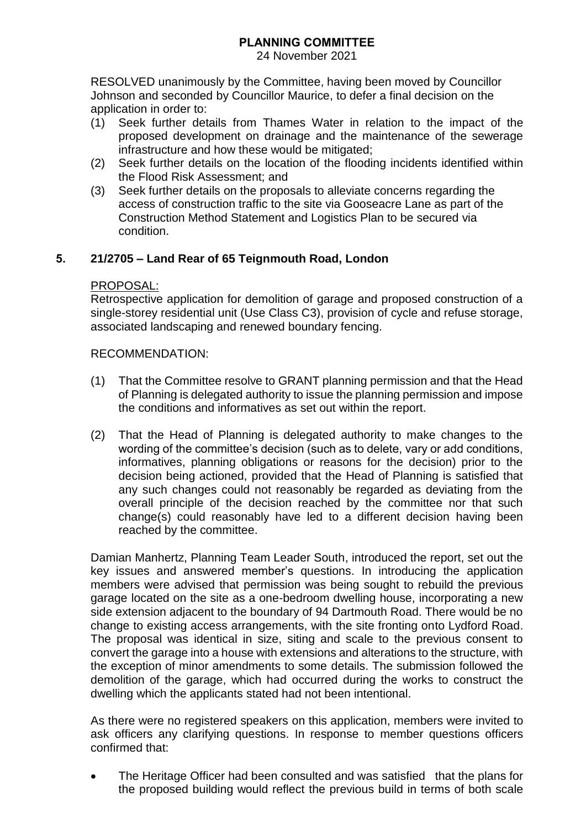24 November 2021

RESOLVED unanimously by the Committee, having been moved by Councillor Johnson and seconded by Councillor Maurice, to defer a final decision on the application in order to:

- (1) Seek further details from Thames Water in relation to the impact of the proposed development on drainage and the maintenance of the sewerage infrastructure and how these would be mitigated;
- (2) Seek further details on the location of the flooding incidents identified within the Flood Risk Assessment; and
- (3) Seek further details on the proposals to alleviate concerns regarding the access of construction traffic to the site via Gooseacre Lane as part of the Construction Method Statement and Logistics Plan to be secured via condition.

# **5. 21/2705 – Land Rear of 65 Teignmouth Road, London**

## PROPOSAL:

Retrospective application for demolition of garage and proposed construction of a single-storey residential unit (Use Class C3), provision of cycle and refuse storage, associated landscaping and renewed boundary fencing.

## RECOMMENDATION:

- (1) That the Committee resolve to GRANT planning permission and that the Head of Planning is delegated authority to issue the planning permission and impose the conditions and informatives as set out within the report.
- (2) That the Head of Planning is delegated authority to make changes to the wording of the committee's decision (such as to delete, vary or add conditions, informatives, planning obligations or reasons for the decision) prior to the decision being actioned, provided that the Head of Planning is satisfied that any such changes could not reasonably be regarded as deviating from the overall principle of the decision reached by the committee nor that such change(s) could reasonably have led to a different decision having been reached by the committee.

Damian Manhertz, Planning Team Leader South, introduced the report, set out the key issues and answered member's questions. In introducing the application members were advised that permission was being sought to rebuild the previous garage located on the site as a one-bedroom dwelling house, incorporating a new side extension adjacent to the boundary of 94 Dartmouth Road. There would be no change to existing access arrangements, with the site fronting onto Lydford Road. The proposal was identical in size, siting and scale to the previous consent to convert the garage into a house with extensions and alterations to the structure, with the exception of minor amendments to some details. The submission followed the demolition of the garage, which had occurred during the works to construct the dwelling which the applicants stated had not been intentional.

As there were no registered speakers on this application, members were invited to ask officers any clarifying questions. In response to member questions officers confirmed that:

 The Heritage Officer had been consulted and was satisfied that the plans for the proposed building would reflect the previous build in terms of both scale